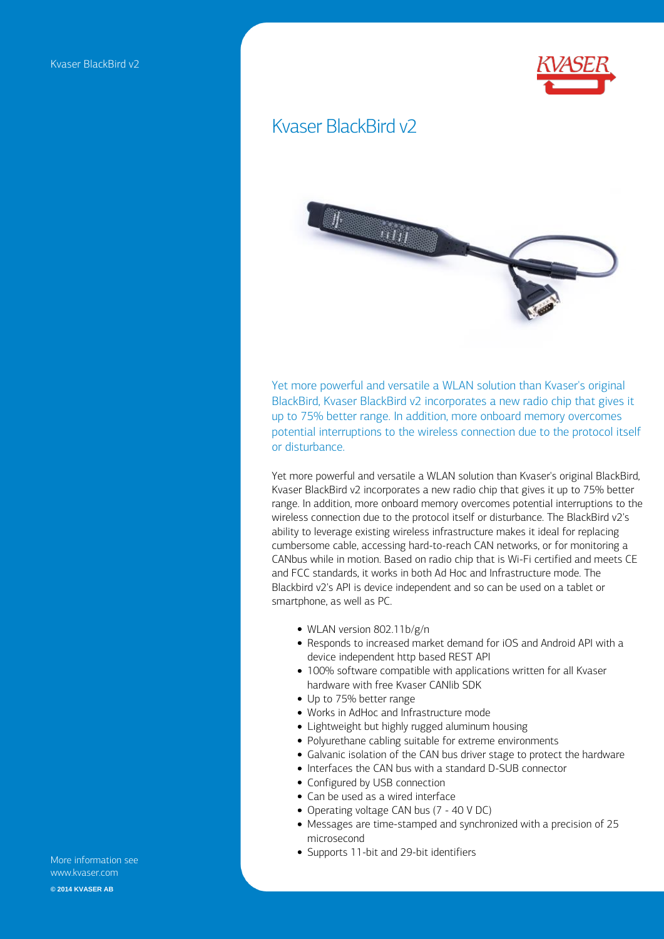

## Kvaser BlackBird v2



**Yet more powerful and versatile a WLAN solution than Kvaser's original BlackBird, Kvaser BlackBird v2 incorporates a new radio chip that gives it up to 75% better range. In addition, more onboard memory overcomes potential interruptions to the wireless connection due to the protocol itself or disturbance.** 

**Yet more powerful and versatile a WLAN solution than Kvaser's original BlackBird, Kvaser BlackBird v2 incorporates a new radio chip that gives it up to 75% better range. In addition, more onboard memory overcomes potential interruptions to the wireless connection due to the protocol itself or disturbance. The BlackBird v2's ability to leverage existing wireless infrastructure makes it ideal for replacing cumbersome cable, accessing hard-to-reach CAN networks, or for monitoring a CANbus while in motion. Based on radio chip that is Wi-Fi certified and meets CE and FCC standards, it works in both Ad Hoc and Infrastructure mode. The Blackbird v2's API is device independent and so can be used on a tablet or smartphone, as well as PC.**

- **WLAN version 802.11b/g/n**
- **Responds to increased market demand for iOS and Android API with a device independent http based REST API**
- **100% software compatible with applications written for all Kvaser hardware with free Kvaser CANlib SDK**
- **Up to 75% better range**
- **Works in AdHoc and Infrastructure mode**
- **Lightweight but highly rugged aluminum housing**
- **Polyurethane cabling suitable for extreme environments**
- **Galvanic isolation of the CAN bus driver stage to protect the hardware**
- **Interfaces the CAN bus with a standard D-SUB connector**
- **Configured by USB connection**
- **Can be used as a wired interface**
- **Operating voltage CAN bus (7 40 V DC)**
- **Messages are time-stamped and synchronized with a precision of 25 microsecond**
- **Supports 11-bit and 29-bit identifiers**

**More information see www.kvaser.com © 2014 KVASER AB**